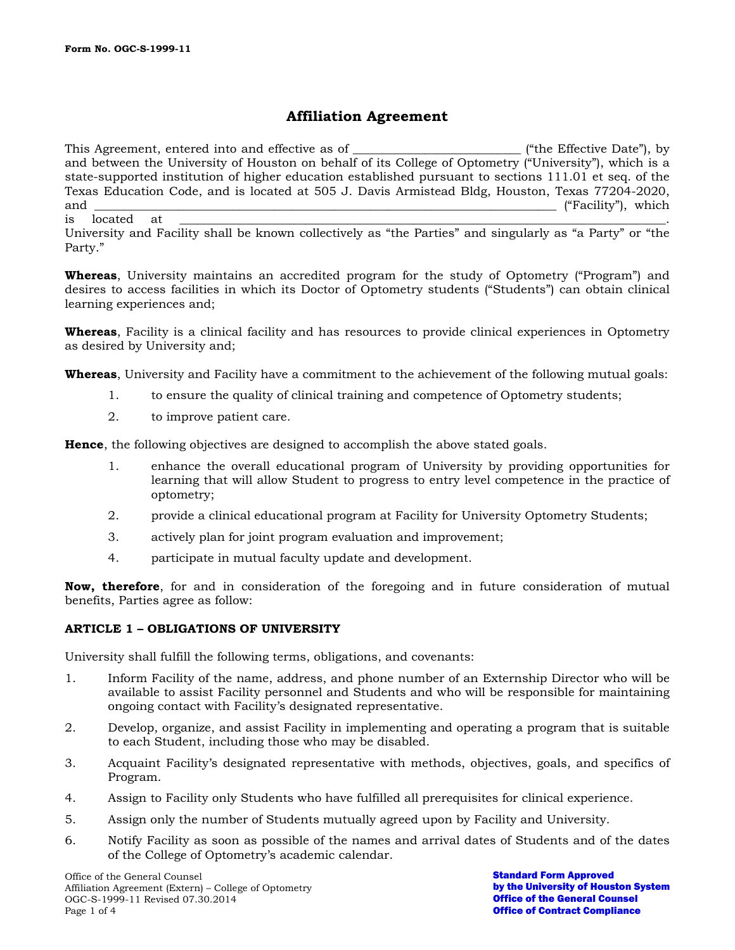# **Affiliation Agreement**

This Agreement, entered into and effective as of \_\_\_\_\_\_\_\_\_\_\_\_\_\_\_\_\_\_\_\_\_\_\_\_\_\_\_\_\_\_\_\_ ("the Effective Date"), by and between the University of Houston on behalf of its College of Optometry ("University"), which is a state-supported institution of higher education established pursuant to sections 111.01 et seq. of the Texas Education Code, and is located at 505 J. Davis Armistead Bldg, Houston, Texas 77204-2020, and \_\_\_\_\_\_\_\_\_\_\_\_\_\_\_\_\_\_\_\_\_\_\_\_\_\_\_\_\_\_\_\_\_\_\_\_\_\_\_\_\_\_\_\_\_\_\_\_\_\_\_\_\_\_\_\_\_\_\_\_\_\_\_\_\_\_\_\_\_\_\_\_\_\_\_\_\_ ("Facility"), which is located at \_\_\_\_\_\_\_\_\_\_\_\_\_\_\_\_\_\_\_\_\_\_\_\_\_\_\_\_\_\_\_\_\_\_\_\_\_\_\_\_\_\_\_\_\_\_\_\_\_\_\_\_\_\_\_\_\_\_\_\_\_\_\_\_\_\_\_\_\_\_\_\_\_\_\_\_\_\_\_\_\_.

University and Facility shall be known collectively as "the Parties" and singularly as "a Party" or "the Party."

**Whereas**, University maintains an accredited program for the study of Optometry ("Program") and desires to access facilities in which its Doctor of Optometry students ("Students") can obtain clinical learning experiences and;

**Whereas**, Facility is a clinical facility and has resources to provide clinical experiences in Optometry as desired by University and;

**Whereas**, University and Facility have a commitment to the achievement of the following mutual goals:

- 1. to ensure the quality of clinical training and competence of Optometry students;
- 2. to improve patient care.

**Hence**, the following objectives are designed to accomplish the above stated goals.

- 1. enhance the overall educational program of University by providing opportunities for learning that will allow Student to progress to entry level competence in the practice of optometry;
- 2. provide a clinical educational program at Facility for University Optometry Students;
- 3. actively plan for joint program evaluation and improvement;
- 4. participate in mutual faculty update and development.

**Now, therefore**, for and in consideration of the foregoing and in future consideration of mutual benefits, Parties agree as follow:

#### **ARTICLE 1 – OBLIGATIONS OF UNIVERSITY**

University shall fulfill the following terms, obligations, and covenants:

- 1. Inform Facility of the name, address, and phone number of an Externship Director who will be available to assist Facility personnel and Students and who will be responsible for maintaining ongoing contact with Facility's designated representative.
- 2. Develop, organize, and assist Facility in implementing and operating a program that is suitable to each Student, including those who may be disabled.
- 3. Acquaint Facility's designated representative with methods, objectives, goals, and specifics of Program.
- 4. Assign to Facility only Students who have fulfilled all prerequisites for clinical experience.
- 5. Assign only the number of Students mutually agreed upon by Facility and University.
- 6. Notify Facility as soon as possible of the names and arrival dates of Students and of the dates of the College of Optometry's academic calendar.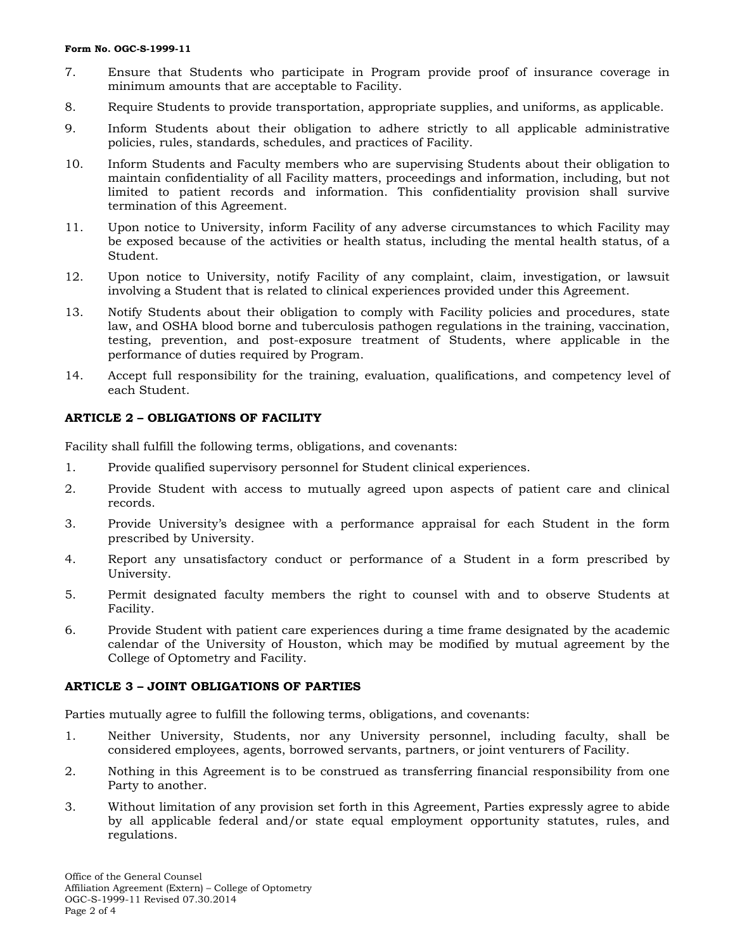#### **Form No. OGC-S-1999-11**

- 7. Ensure that Students who participate in Program provide proof of insurance coverage in minimum amounts that are acceptable to Facility.
- 8. Require Students to provide transportation, appropriate supplies, and uniforms, as applicable.
- 9. Inform Students about their obligation to adhere strictly to all applicable administrative policies, rules, standards, schedules, and practices of Facility.
- 10. Inform Students and Faculty members who are supervising Students about their obligation to maintain confidentiality of all Facility matters, proceedings and information, including, but not limited to patient records and information. This confidentiality provision shall survive termination of this Agreement.
- 11. Upon notice to University, inform Facility of any adverse circumstances to which Facility may be exposed because of the activities or health status, including the mental health status, of a Student.
- 12. Upon notice to University, notify Facility of any complaint, claim, investigation, or lawsuit involving a Student that is related to clinical experiences provided under this Agreement.
- 13. Notify Students about their obligation to comply with Facility policies and procedures, state law, and OSHA blood borne and tuberculosis pathogen regulations in the training, vaccination, testing, prevention, and post-exposure treatment of Students, where applicable in the performance of duties required by Program.
- 14. Accept full responsibility for the training, evaluation, qualifications, and competency level of each Student.

## **ARTICLE 2 – OBLIGATIONS OF FACILITY**

Facility shall fulfill the following terms, obligations, and covenants:

- 1. Provide qualified supervisory personnel for Student clinical experiences.
- 2. Provide Student with access to mutually agreed upon aspects of patient care and clinical records.
- 3. Provide University's designee with a performance appraisal for each Student in the form prescribed by University.
- 4. Report any unsatisfactory conduct or performance of a Student in a form prescribed by University.
- 5. Permit designated faculty members the right to counsel with and to observe Students at Facility.
- 6. Provide Student with patient care experiences during a time frame designated by the academic calendar of the University of Houston, which may be modified by mutual agreement by the College of Optometry and Facility.

#### **ARTICLE 3 – JOINT OBLIGATIONS OF PARTIES**

Parties mutually agree to fulfill the following terms, obligations, and covenants:

- 1. Neither University, Students, nor any University personnel, including faculty, shall be considered employees, agents, borrowed servants, partners, or joint venturers of Facility.
- 2. Nothing in this Agreement is to be construed as transferring financial responsibility from one Party to another.
- 3. Without limitation of any provision set forth in this Agreement, Parties expressly agree to abide by all applicable federal and/or state equal employment opportunity statutes, rules, and regulations.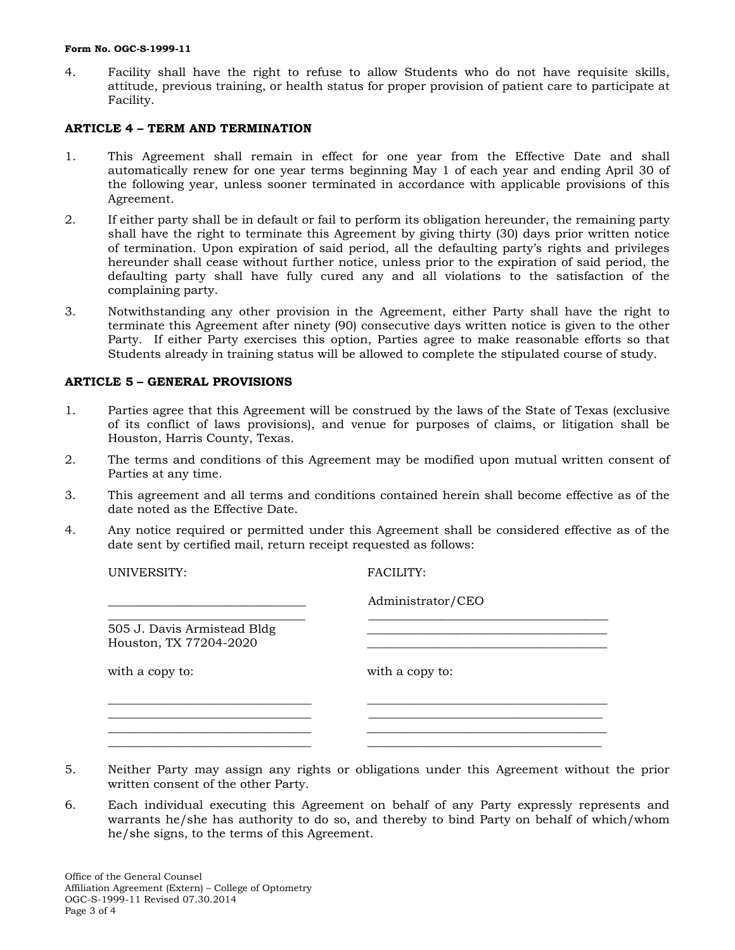#### **Form No. OGC-S-1999-11**

4. Facility shall have the right to refuse to allow Students who do not have requisite skills, attitude, previous training, or health status for proper provision of patient care to participate at Facility.

## **ARTICLE 4 – TERM AND TERMINATION**

- 1. This Agreement shall remain in effect for one year from the Effective Date and shall automatically renew for one year terms beginning May 1 of each year and ending April 30 of the following year, unless sooner terminated in accordance with applicable provisions of this Agreement.
- 2. If either party shall be in default or fail to perform its obligation hereunder, the remaining party shall have the right to terminate this Agreement by giving thirty (30) days prior written notice of termination. Upon expiration of said period, all the defaulting party's rights and privileges hereunder shall cease without further notice, unless prior to the expiration of said period, the defaulting party shall have fully cured any and all violations to the satisfaction of the complaining party.
- 3. Notwithstanding any other provision in the Agreement, either Party shall have the right to terminate this Agreement after ninety (90) consecutive days written notice is given to the other Party. If either Party exercises this option, Parties agree to make reasonable efforts so that Students already in training status will be allowed to complete the stipulated course of study.

## **ARTICLE 5 – GENERAL PROVISIONS**

- 1. Parties agree that this Agreement will be construed by the laws of the State of Texas (exclusive of its conflict of laws provisions), and venue for purposes of claims, or litigation shall be Houston, Harris County, Texas.
- 2. The terms and conditions of this Agreement may be modified upon mutual written consent of Parties at any time.
- 3. This agreement and all terms and conditions contained herein shall become effective as of the date noted as the Effective Date.
- 4. Any notice required or permitted under this Agreement shall be considered effective as of the date sent by certified mail, return receipt requested as follows:

UNIVERSITY: FACILITY: \_\_\_\_\_\_\_\_\_\_\_\_\_\_\_\_\_\_\_\_\_\_\_\_\_\_\_\_\_\_\_\_\_ Administrator/CEO \_\_\_\_\_\_\_\_\_\_\_\_\_\_\_\_\_\_\_\_\_\_\_\_\_\_\_\_\_\_\_\_\_ \_\_\_\_\_\_\_\_\_\_\_\_\_\_\_\_\_\_\_\_\_\_\_\_\_\_\_\_\_\_\_\_\_\_\_\_\_\_\_\_ 505 J. Davis Armistead Bldg \_\_\_\_\_\_\_\_\_\_\_\_\_\_\_\_\_\_\_\_\_\_\_\_\_\_\_\_\_\_\_\_\_\_\_\_\_\_\_\_ Houston, TX 77204-2020 with a copy to: with a copy to: \_\_\_\_\_\_\_\_\_\_\_\_\_\_\_\_\_\_\_\_\_\_\_\_\_\_\_\_\_\_\_\_\_\_ \_\_\_\_\_\_\_\_\_\_\_\_\_\_\_\_\_\_\_\_\_\_\_\_\_\_\_\_\_\_\_\_\_\_\_\_\_\_\_\_

5. Neither Party may assign any rights or obligations under this Agreement without the prior written consent of the other Party.

\_\_\_\_\_\_\_\_\_\_\_\_\_\_\_\_\_\_\_\_\_\_\_\_\_\_\_\_\_\_\_\_\_\_ \_\_\_\_\_\_\_\_\_\_\_\_\_\_\_\_\_\_\_\_\_\_\_\_\_\_\_\_\_\_\_\_\_\_\_\_\_\_\_\_ \_\_\_\_\_\_\_\_\_\_\_\_\_\_\_\_\_\_\_\_\_\_\_\_\_\_\_\_\_\_\_\_\_\_ \_\_\_\_\_\_\_\_\_\_\_\_\_\_\_\_\_\_\_\_\_\_\_\_\_\_\_\_\_\_\_\_\_\_\_\_\_\_\_

6. Each individual executing this Agreement on behalf of any Party expressly represents and warrants he/she has authority to do so, and thereby to bind Party on behalf of which/whom he/she signs, to the terms of this Agreement.